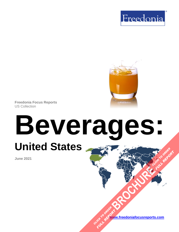



**Freedonia Focus Reports** US Collection

# **Beverages: United States [BROCHURE](https://www.freedoniafocusreports.com/Beverages-United-States-FF10023/?progid=89541) CLICK TO ORDER FULL REPORT**

#### **June 2021**

**[www.freedoniafocusreports.com](https://www.freedoniafocusreports.com/redirect.asp?progid=89534&url=/)** CLICK TO ORDER **FULL REPORT**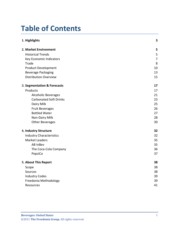# **Table of Contents**

| 1. Highlights                   | 3              |
|---------------------------------|----------------|
| 2. Market Environment           | 5              |
| <b>Historical Trends</b>        | 5              |
| Key Economic Indicators         | $\overline{7}$ |
| Trade                           | 8              |
| <b>Product Development</b>      | 10             |
| <b>Beverage Packaging</b>       | 13             |
| <b>Distribution Overview</b>    | 15             |
| 3. Segmentation & Forecasts     | 17             |
| Products                        | 17             |
| <b>Alcoholic Beverages</b>      | 21             |
| <b>Carbonated Soft Drinks</b>   | 23             |
| Dairy Milk                      | 25             |
| <b>Fruit Beverages</b>          | 26             |
| <b>Bottled Water</b>            | 27             |
| Non-Dairy Milk                  | 28             |
| Other Beverages                 | 30             |
| 4. Industry Structure           | 32             |
| <b>Industry Characteristics</b> | 32             |
| <b>Market Leaders</b>           | 35             |
| <b>AB InBev</b>                 | 35             |
| The Coca-Cola Company           | 36             |
| PepsiCo                         | 37             |
| 5. About This Report            | 38             |
| Scope                           | 38             |
| Sources                         | 38             |
| <b>Industry Codes</b>           | 39             |
| Freedonia Methodology           | 39             |
| Resources                       | 41             |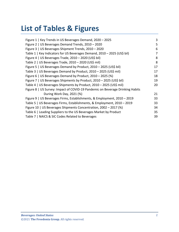# **List of Tables & Figures**

| Figure 1   Key Trends in US Beverages Demand, 2020 - 2025                     | 3  |
|-------------------------------------------------------------------------------|----|
| Figure 2   US Beverages Demand Trends, 2010 - 2020                            | 5  |
| Figure 3   US Beverages Shipment Trends, 2010 - 2020                          | 6  |
| Table 1   Key Indicators for US Beverages Demand, 2010 - 2025 (US\$ bil)      | 7  |
| Figure 4   US Beverages Trade, $2010 - 2020$ (US\$ bil)                       | 8  |
| Table 2   US Beverages Trade, 2010 - 2020 (US\$ mil)                          | 8  |
| Figure 5   US Beverages Demand by Product, 2010 - 2025 (US\$ bil)             | 17 |
| Table 3   US Beverages Demand by Product, 2010 - 2025 (US\$ mil)              | 17 |
| Figure 6   US Beverages Demand by Product, 2010 - 2025 (%)                    | 18 |
| Figure 7   US Beverages Shipments by Product, 2010 - 2025 (US\$ bil)          | 19 |
| Table 4   US Beverages Shipments by Product, 2010 - 2025 (US\$ mil)           | 20 |
| Figure 8   US Survey: Impact of COVID-19 Pandemic on Beverage Drinking Habits |    |
| During Work Day, 2021 (%)                                                     | 21 |
| Figure 9   US Beverages Firms, Establishments, & Employment, 2010 - 2019      | 33 |
| Table 5   US Beverages Firms, Establishments, & Employment, 2010 - 2019       | 33 |
| Figure 10   US Beverages Shipments Concentration, 2002 - 2017 (%)             | 34 |
| Table 6   Leading Suppliers to the US Beverages Market by Product             | 35 |
| Table 7   NAICS & SIC Codes Related to Beverages                              |    |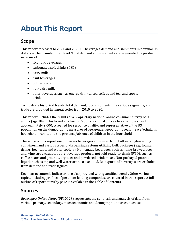# <span id="page-3-0"></span>**About This Report**

# <span id="page-3-1"></span>**Scope**

This report forecasts to 2021 and 2025 US beverages demand and shipments in nominal US dollars at the manufacturer level. Total demand and shipments are segmented by product in terms of:

- alcoholic beverages
- carbonated soft drinks (CSD)
- dairy milk
- fruit beverages
- bottled water
- non-dairy milk
- other beverages such as energy drinks, iced coffees and tea, and sports drinks

To illustrate historical trends, total demand, total shipments, the various segments, and trade are provided in annual series from 2010 to 2020.

This report includes the results of a proprietary national online consumer survey of US adults (age 18+). This Freedonia Focus Reports National Survey has a sample size of approximately 2,000, screened for response quality, and representative of the US population on the demographic measures of age, gender, geographic region, race/ethnicity, household income, and the presence/absence of children in the household.

The scope of this report encompasses beverages consumed from bottles, single-serving containers, and various types of dispensing systems utilizing bulk packages (e.g., fountain drinks, beer taps, and water coolers). Homemade beverages, such as home-brewed beer and wine, are excluded, as are beverage products not sold ready-to-drink (RTD), such as coffee beans and grounds, dry teas, and powdered drink mixes. Non-packaged potable liquids such as tap and well water are also excluded. Re-exports of beverages are excluded from demand and trade figures.

Key macroeconomic indicators are also provided with quantified trends. Other various topics, including profiles of pertinent leading companies, are covered in this report. A full outline of report items by page is available in the Table of Contents.

## <span id="page-3-2"></span>**Sources**

*Beverages: United States* (FF10023) represents the synthesis and analysis of data from various primary, secondary, macroeconomic, and demographic sources, such as: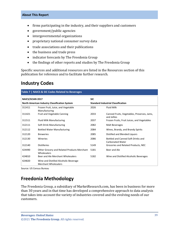#### **About This Report**

- firms participating in the industry, and their suppliers and customers
- government/public agencies
- intergovernmental organizations
- proprietary national consumer survey data
- trade associations and their publications
- the business and trade press
- indicator forecasts by The Freedonia Group
- the findings of other reports and studies by The Freedonia Group

Specific sources and additional resources are listed in the Resources section of this publication for reference and to facilitate further research.

## <span id="page-4-0"></span>**Industry Codes**

<span id="page-4-2"></span>

| Table 7   NAICS & SIC Codes Related to Beverages |                                                                      |                                           |                                                               |  |
|--------------------------------------------------|----------------------------------------------------------------------|-------------------------------------------|---------------------------------------------------------------|--|
| <b>NAICS/SCIAN 2017</b>                          |                                                                      | <b>SIC</b>                                |                                                               |  |
| North American Industry Classification System    |                                                                      | <b>Standard Industrial Classification</b> |                                                               |  |
| 311411                                           | Frozen Fruit, Juice, and Vegetable<br>Manufacturing                  | 2026                                      | <b>Fluid Milk</b>                                             |  |
| 311421                                           | Fruit and Vegetable Canning                                          | 2033                                      | Canned Fruits, Vegetables, Preserves, Jams,<br>and Jellies    |  |
| 311511                                           | Fluid Milk Manufacturing                                             | 2037                                      | Frozen Fruits, Fruit Juices, and Vegetables                   |  |
| 312111                                           | Soft Drink Manufacturing                                             | 2082                                      | Malt Beverages                                                |  |
| 312112                                           | <b>Bottled Water Manufacturing</b>                                   | 2084                                      | Wines, Brandy, and Brandy Spirits                             |  |
| 312120                                           | <b>Breweries</b>                                                     | 2085                                      | Distilled and Blended Liquors                                 |  |
| 312130                                           | Wineries                                                             | 2086                                      | Bottled and Canned Soft Drinks and<br><b>Carbonated Water</b> |  |
| 312140                                           | <b>Distilleries</b>                                                  | 5149                                      | Groceries and Related Products, NEC                           |  |
| 424490                                           | Other Grocery and Related Products Merchant<br>Wholesalers           | 5181                                      | Beer and Ale                                                  |  |
| 424810                                           | Beer and Ale Merchant Wholesalers                                    | 5182                                      | Wine and Distilled Alcoholic Beverages                        |  |
| 424820                                           | Wine and Distilled Alcoholic Beverage<br><b>Merchant Wholesalers</b> |                                           |                                                               |  |

Source: US Census Bureau

## <span id="page-4-1"></span>**Freedonia Methodology**

The Freedonia Group, a subsidiary of MarketResearch.com, has been in business for more than 30 years and in that time has developed a comprehensive approach to data analysis that takes into account the variety of industries covered and the evolving needs of our customers.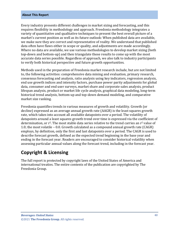#### **About This Report**

Every industry presents different challenges in market sizing and forecasting, and this requires flexibility in methodology and approach. Freedonia methodology integrates a variety of quantitative and qualitative techniques to present the best overall picture of a market's current position as well as its future outlook: When published data are available, we make sure they are correct and representative of reality. We understand that published data often have flaws either in scope or quality, and adjustments are made accordingly. Where no data are available, we use various methodologies to develop market sizing (both top-down and bottom-up) and then triangulate those results to come up with the most accurate data series possible. Regardless of approach, we also talk to industry participants to verify both historical perspective and future growth opportunities.

Methods used in the preparation of Freedonia market research include, but are not limited to, the following activities: comprehensive data mining and evaluation, primary research, consensus forecasting and analysis, ratio analysis using key indicators, regression analysis, end use growth indices and intensity factors, purchase power parity adjustments for global data, consumer and end user surveys, market share and corporate sales analysis, product lifespan analysis, product or market life cycle analysis, graphical data modeling, long-term historical trend analysis, bottom-up and top-down demand modeling, and comparative market size ranking.

Freedonia quantifies trends in various measures of growth and volatility. Growth (or decline) expressed as an average annual growth rate (AAGR) is the least squares growth rate, which takes into account all available datapoints over a period. The volatility of datapoints around a least squares growth trend over time is expressed via the coefficient of determination, or  $r^2$ . The most stable data series relative to the trend carries an  $r^2$  value of 1.0; the most volatile – 0.0. Growth calculated as a compound annual growth rate (CAGR) employs, by definition, only the first and last datapoints over a period. The CAGR is used to describe forecast growth, defined as the expected trend beginning in the base year and ending in the forecast year. Readers are encouraged to consider historical volatility when assessing particular annual values along the forecast trend, including in the forecast year.

## **Copyright & Licensing**

The full report is protected by copyright laws of the United States of America and international treaties. The entire contents of the publication are copyrighted by The Freedonia Group.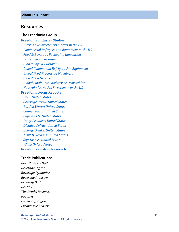#### <span id="page-6-0"></span>**Resources**

#### **The Freedonia Group**

#### **[Freedonia Industry Studies](http://www.freedoniagroup.com/Home.aspx?ReferrerId=FL-Focus)**

 *[Alternative Sweeteners Market in the US](http://www.freedoniagroup.com/DocumentDetails.aspx?ReferrerId=FL-FOCUS&studyid=3491) [Commercial Refrigeration Equipment in the US](http://www.freedoniagroup.com/DocumentDetails.aspx?ReferrerId=FL-FOCUS&studyid=3831) [Food & Beverage Packaging Innovation](http://www.freedoniagroup.com/DocumentDetails.aspx?ReferrerId=FL-FOCUS&studyid=3736) [Frozen Food Packaging](http://www.freedoniagroup.com/DocumentDetails.aspx?ReferrerId=FL-FOCUS&studyid=3966) [Global Caps & Closures](http://www.freedoniagroup.com/DocumentDetails.aspx?ReferrerId=FL-FOCUS&studyid=4045) [Global Commercial Refrigeration Equipment](http://www.freedoniagroup.com/DocumentDetails.aspx?ReferrerId=FL-FOCUS&studyid=3967) [Global Food Processing Machinery](http://www.freedoniagroup.com/DocumentDetails.aspx?ReferrerId=FL-FOCUS&studyid=3809) [Global Foodservice](http://www.freedoniagroup.com/DocumentDetails.aspx?ReferrerId=FL-FOCUS&studyid=3817) Global Single [-Use Foodservice Disposables](http://www.freedoniagroup.com/DocumentDetails.aspx?ReferrerId=FL-FOCUS&studyid=3829) [Natural Alternative Sweeteners in the US](http://www.freedoniagroup.com/DocumentDetails.aspx?ReferrerId=FL-FOCUS&studyid=3551)*

#### **[Freedonia Focus Reports](https://www.freedoniafocusreports.com/redirect.asp?progid=89534&url=/)**

 *[Beer: United States](https://www.freedoniafocusreports.com/Beer-United-States-FF10010/?progid=89534) [Beverage Retail: United States](https://www.freedoniafocusreports.com/Beverage-Retail-United-States-FF10062/?progid=89534) [Bottled Water: United States](https://www.freedoniafocusreports.com/Bottled-Water-United-States-FF10011/?progid=89534) [Canned Foods: United States](https://www.freedoniafocusreports.com/Canned-Foods-United-States-FF10012/?progid=89534) [Cups & Lids: United States](https://www.freedoniafocusreports.com/Cups-Lids-United-States-FF30031/?progid=89534) [Dairy Products: United States](https://www.freedoniafocusreports.com/Dairy-Products-United-States-FF10013/?progid=89534) [Distilled Spirits: United States](https://www.freedoniafocusreports.com/Distilled-Spirits-United-States-FF10014/?progid=89534) [Energy Drinks: United States](https://www.freedoniafocusreports.com/Energy-Drinks-United-States-FF10049/?progid=89534) [Fruit Beverages: United States](https://www.freedoniafocusreports.com/Fruit-Beverages-United-States-FF10059/?progid=89534) [Soft Drinks: United States](https://www.freedoniafocusreports.com/Soft-Drinks-United-States-FF10018/?progid=89534) [Wine: United States](https://www.freedoniafocusreports.com/Wine-United-States-FF10020/?progid=89534)* **[Freedonia Custom Research](http://www.freedoniagroup.com/CustomResearch.aspx?ReferrerId=FL-Focus)**

#### **Trade Publications**

*Beer Business Daily Beverage Digest Beverage Dynamics Beverage Industry BeverageDaily BevNET The Drinks Business FoodBev Packaging Diges t Progressive Grocer*